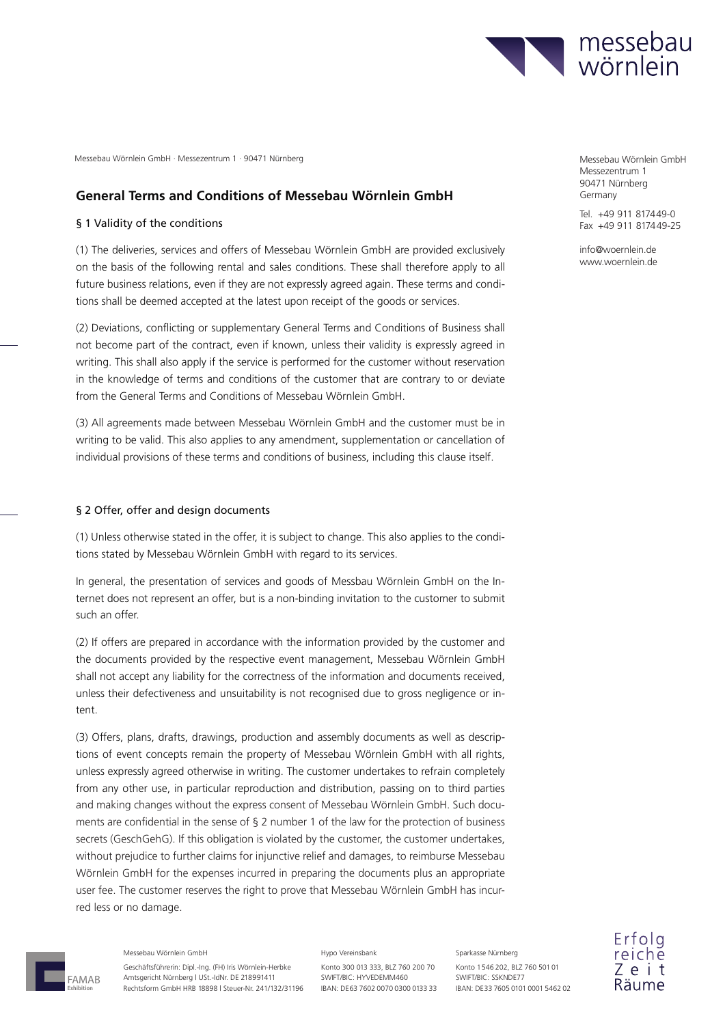

## **General Terms and Conditions of Messebau Wörnlein GmbH**

## § 1 Validity of the conditions

(1) The deliveries, services and offers of Messebau Wörnlein GmbH are provided exclusively on the basis of the following rental and sales conditions. These shall therefore apply to all future business relations, even if they are not expressly agreed again. These terms and conditions shall be deemed accepted at the latest upon receipt of the goods or services.

(2) Deviations, conflicting or supplementary General Terms and Conditions of Business shall not become part of the contract, even if known, unless their validity is expressly agreed in writing. This shall also apply if the service is performed for the customer without reservation in the knowledge of terms and conditions of the customer that are contrary to or deviate from the General Terms and Conditions of Messebau Wörnlein GmbH.

(3) All agreements made between Messebau Wörnlein GmbH and the customer must be in writing to be valid. This also applies to any amendment, supplementation or cancellation of individual provisions of these terms and conditions of business, including this clause itself.

### § 2 Offer, offer and design documents

(1) Unless otherwise stated in the offer, it is subject to change. This also applies to the conditions stated by Messebau Wörnlein GmbH with regard to its services.

In general, the presentation of services and goods of Messbau Wörnlein GmbH on the Internet does not represent an offer, but is a non-binding invitation to the customer to submit such an offer.

(2) If offers are prepared in accordance with the information provided by the customer and the documents provided by the respective event management, Messebau Wörnlein GmbH shall not accept any liability for the correctness of the information and documents received, unless their defectiveness and unsuitability is not recognised due to gross negligence or intent.

(3) Offers, plans, drafts, drawings, production and assembly documents as well as descriptions of event concepts remain the property of Messebau Wörnlein GmbH with all rights, unless expressly agreed otherwise in writing. The customer undertakes to refrain completely from any other use, in particular reproduction and distribution, passing on to third parties and making changes without the express consent of Messebau Wörnlein GmbH. Such documents are confidential in the sense of § 2 number 1 of the law for the protection of business secrets (GeschGehG). If this obligation is violated by the customer, the customer undertakes, without prejudice to further claims for injunctive relief and damages, to reimburse Messebau Wörnlein GmbH for the expenses incurred in preparing the documents plus an appropriate user fee. The customer reserves the right to prove that Messebau Wörnlein GmbH has incurred less or no damage.



**Exhibition**

Messebau Wörnlein GmbH

Geschäftsführerin: Dipl.-Ing. (FH) Iris Wörnlein-Herbke Amtsgericht Nürnberg | USt.-IdNr. DE 218991411 Rechtsform GmbH HRB 18898 | Steuer-Nr. 241/132/31196

#### Hypo Vereinsbank

Konto 300 013 333, BLZ 760 200 70 SWIFT/BIC: HYVEDEMM460 IBAN: DE63 7602 0070 0300 0133 33 Konto 1 546 202, BLZ 760 501 01 SWIFT/BIC: SSKNDE77 IBAN: DE 33 7605 0101 0001 5462 02

Sparkasse Nürnberg

Messezentrum 1 90471 Nürnberg Germany

Tel. +49 911 817449-0 Fax +49 911 817449-25

info@woernlein.de www.woernlein.de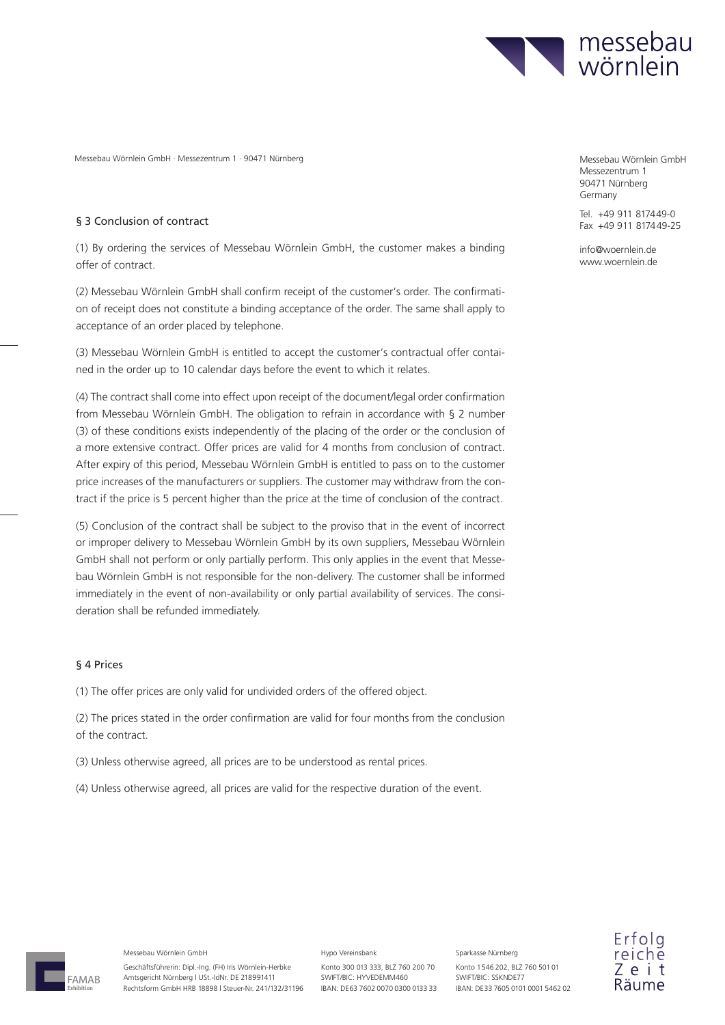

### § 3 Conclusion of contract

(1) By ordering the services of Messebau Wörnlein GmbH, the customer makes a binding offer of contract.

(2) Messebau Wörnlein GmbH shall confirm receipt of the customer's order. The confirmation of receipt does not constitute a binding acceptance of the order. The same shall apply to acceptance of an order placed by telephone.

(3) Messebau Wörnlein GmbH is entitled to accept the customer's contractual offer contained in the order up to 10 calendar days before the event to which it relates.

(4) The contract shall come into effect upon receipt of the document/legal order confirmation from Messebau Wörnlein GmbH. The obligation to refrain in accordance with § 2 number (3) of these conditions exists independently of the placing of the order or the conclusion of a more extensive contract. Offer prices are valid for 4 months from conclusion of contract. After expiry of this period, Messebau Wörnlein GmbH is entitled to pass on to the customer price increases of the manufacturers or suppliers. The customer may withdraw from the contract if the price is 5 percent higher than the price at the time of conclusion of the contract.

(5) Conclusion of the contract shall be subject to the proviso that in the event of incorrect or improper delivery to Messebau Wörnlein GmbH by its own suppliers, Messebau Wörnlein GmbH shall not perform or only partially perform. This only applies in the event that Messebau Wörnlein GmbH is not responsible for the non-delivery. The customer shall be informed immediately in the event of non-availability or only partial availability of services. The consideration shall be refunded immediately.

### § 4 Prices

(1) The offer prices are only valid for undivided orders of the offered object.

(2) The prices stated in the order confirmation are valid for four months from the conclusion of the contract.

- (3) Unless otherwise agreed, all prices are to be understood as rental prices.
- (4) Unless otherwise agreed, all prices are valid for the respective duration of the event.

Messezentrum 1 90471 Nürnberg Germany

Tel. +49 911 8174 49-0 Fax +49 911 817449-25

info@woernlein.de www.woernlein.de



#### Messebau Wörnlein GmbH

Geschäftsführerin: Dipl.-Ing. (FH) Iris Wörnlein-Herbke Amtsgericht Nürnberg | USt.-IdNr. DE 218991411 Rechtsform GmbH HRB 18898 | Steuer-Nr. 241/132/31196

#### Hypo Vereinsbank

Konto 300 013 333, BLZ 760 200 70 SWIFT/BIC: HYVEDEMM460 IBAN: DE63 7602 0070 0300 0133 33 Konto 1 546 202, BLZ 760 501 01 SWIFT/BIC: SSKNDE77 IBAN: DE 33 7605 0101 0001 5462 02

Sparkasse Nürnberg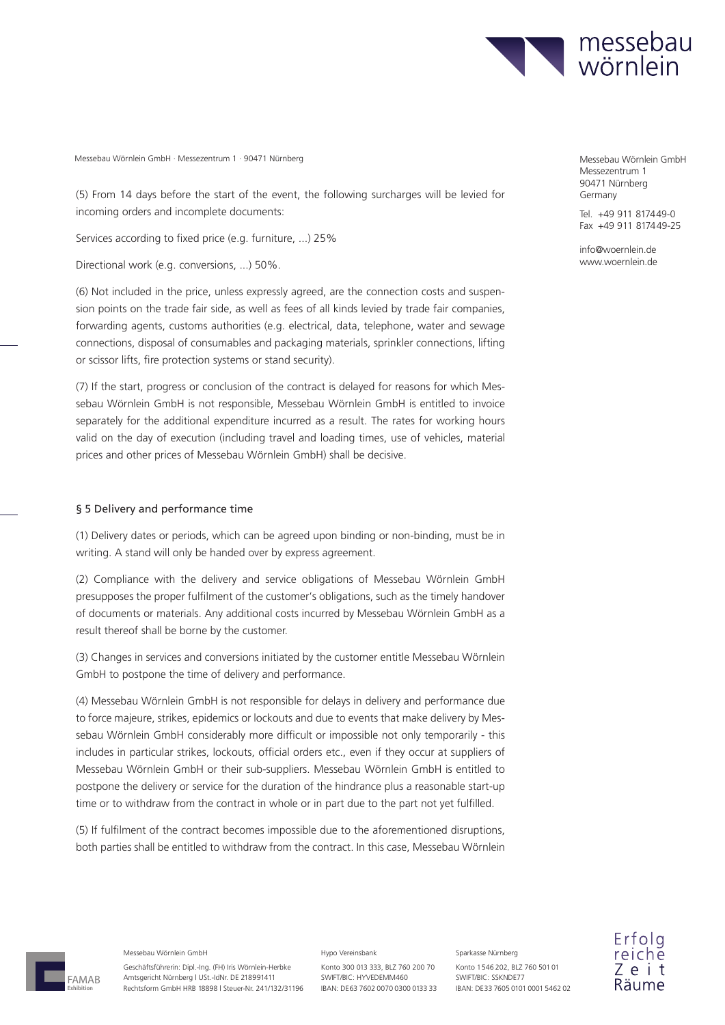

(5) From 14 days before the start of the event, the following surcharges will be levied for incoming orders and incomplete documents:

Services according to fixed price (e.g. furniture, ...) 25%

Directional work (e.g. conversions, ...) 50%.

(6) Not included in the price, unless expressly agreed, are the connection costs and suspension points on the trade fair side, as well as fees of all kinds levied by trade fair companies, forwarding agents, customs authorities (e.g. electrical, data, telephone, water and sewage connections, disposal of consumables and packaging materials, sprinkler connections, lifting or scissor lifts, fire protection systems or stand security).

(7) If the start, progress or conclusion of the contract is delayed for reasons for which Messebau Wörnlein GmbH is not responsible, Messebau Wörnlein GmbH is entitled to invoice separately for the additional expenditure incurred as a result. The rates for working hours valid on the day of execution (including travel and loading times, use of vehicles, material prices and other prices of Messebau Wörnlein GmbH) shall be decisive.

### § 5 Delivery and performance time

(1) Delivery dates or periods, which can be agreed upon binding or non-binding, must be in writing. A stand will only be handed over by express agreement.

(2) Compliance with the delivery and service obligations of Messebau Wörnlein GmbH presupposes the proper fulfilment of the customer's obligations, such as the timely handover of documents or materials. Any additional costs incurred by Messebau Wörnlein GmbH as a result thereof shall be borne by the customer.

(3) Changes in services and conversions initiated by the customer entitle Messebau Wörnlein GmbH to postpone the time of delivery and performance.

(4) Messebau Wörnlein GmbH is not responsible for delays in delivery and performance due to force majeure, strikes, epidemics or lockouts and due to events that make delivery by Messebau Wörnlein GmbH considerably more difficult or impossible not only temporarily - this includes in particular strikes, lockouts, official orders etc., even if they occur at suppliers of Messebau Wörnlein GmbH or their sub-suppliers. Messebau Wörnlein GmbH is entitled to postpone the delivery or service for the duration of the hindrance plus a reasonable start-up time or to withdraw from the contract in whole or in part due to the part not yet fulfilled.

(5) If fulfilment of the contract becomes impossible due to the aforementioned disruptions, both parties shall be entitled to withdraw from the contract. In this case, Messebau Wörnlein Messezentrum 1 90471 Nürnberg Germany

Tel. +49 911 817449-0  $Fax +49911817449-25$ 

info@woernlein.de www.woernlein.de

FAMAB **Exhibition**

Messebau Wörnlein GmbH

Geschäftsführerin: Dipl.-Ing. (FH) Iris Wörnlein-Herbke Amtsgericht Nürnberg | USt.-IdNr. DE 218991411 Rechtsform GmbH HRB 18898 | Steuer-Nr. 241/132/31196

#### Hypo Vereinsbank

Konto 300 013 333, BLZ 760 200 70 SWIFT/BIC: HYVEDEMM460 IBAN: DE63 7602 0070 0300 0133 33 Konto 1 546 202, BLZ 760 501 01 SWIFT/BIC: SSKNDE77 IBAN: DE 33 7605 0101 0001 5462 02

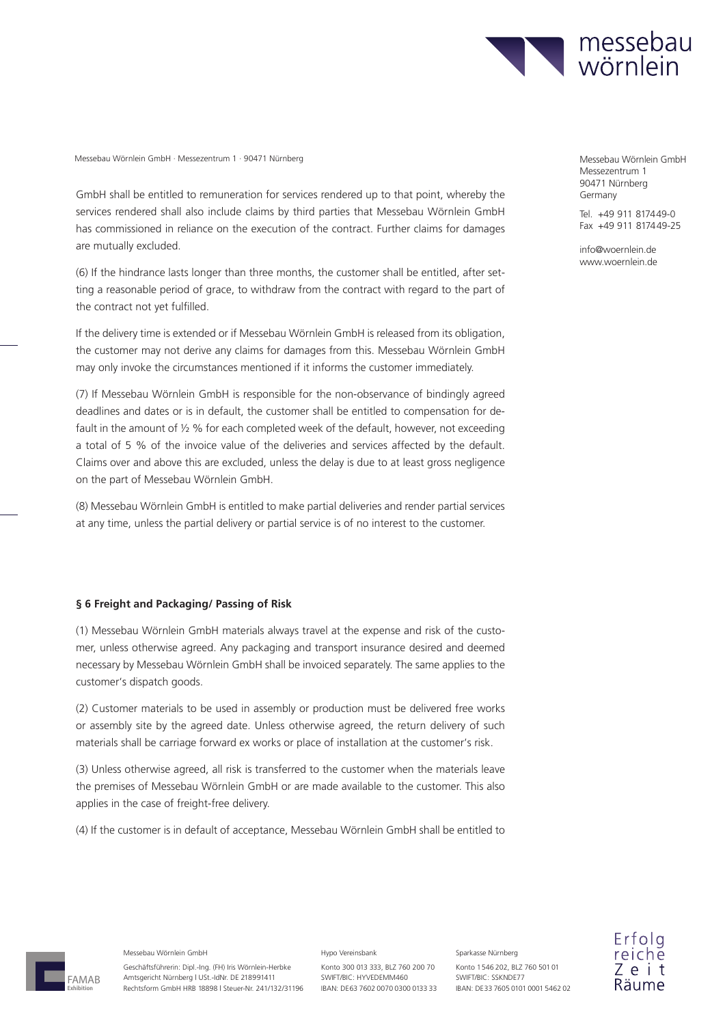

GmbH shall be entitled to remuneration for services rendered up to that point, whereby the services rendered shall also include claims by third parties that Messebau Wörnlein GmbH has commissioned in reliance on the execution of the contract. Further claims for damages are mutually excluded.

(6) If the hindrance lasts longer than three months, the customer shall be entitled, after setting a reasonable period of grace, to withdraw from the contract with regard to the part of the contract not yet fulfilled.

If the delivery time is extended or if Messebau Wörnlein GmbH is released from its obligation, the customer may not derive any claims for damages from this. Messebau Wörnlein GmbH may only invoke the circumstances mentioned if it informs the customer immediately.

(7) If Messebau Wörnlein GmbH is responsible for the non-observance of bindingly agreed deadlines and dates or is in default, the customer shall be entitled to compensation for default in the amount of  $\frac{1}{2}$  % for each completed week of the default, however, not exceeding a total of 5 % of the invoice value of the deliveries and services affected by the default. Claims over and above this are excluded, unless the delay is due to at least gross negligence on the part of Messebau Wörnlein GmbH.

(8) Messebau Wörnlein GmbH is entitled to make partial deliveries and render partial services at any time, unless the partial delivery or partial service is of no interest to the customer.

### **§ 6 Freight and Packaging/ Passing of Risk**

(1) Messebau Wörnlein GmbH materials always travel at the expense and risk of the customer, unless otherwise agreed. Any packaging and transport insurance desired and deemed necessary by Messebau Wörnlein GmbH shall be invoiced separately. The same applies to the customer's dispatch goods.

(2) Customer materials to be used in assembly or production must be delivered free works or assembly site by the agreed date. Unless otherwise agreed, the return delivery of such materials shall be carriage forward ex works or place of installation at the customer's risk.

(3) Unless otherwise agreed, all risk is transferred to the customer when the materials leave the premises of Messebau Wörnlein GmbH or are made available to the customer. This also applies in the case of freight-free delivery.

(4) If the customer is in default of acceptance, Messebau Wörnlein GmbH shall be entitled to

Messezentrum 1 90471 Nürnberg Germany

Tel. +49 911 8174 49-0 Fax +49 911 817449-25

info@woernlein.de www.woernlein.de

FAMAB **Exhibition**

Messebau Wörnlein GmbH

Geschäftsführerin: Dipl.-Ing. (FH) Iris Wörnlein-Herbke Amtsgericht Nürnberg | USt.-IdNr. DE 218991411 Rechtsform GmbH HRB 18898 | Steuer-Nr. 241/132/31196

#### Hypo Vereinsbank

Konto 300 013 333, BLZ 760 200 70 SWIFT/BIC: HYVEDEMM460 IBAN: DE63 7602 0070 0300 0133 33 Konto 1 546 202, BLZ 760 501 01 SWIFT/BIC: SSKNDE77 IBAN: DE 33 7605 0101 0001 5462 02

Sparkasse Nürnberg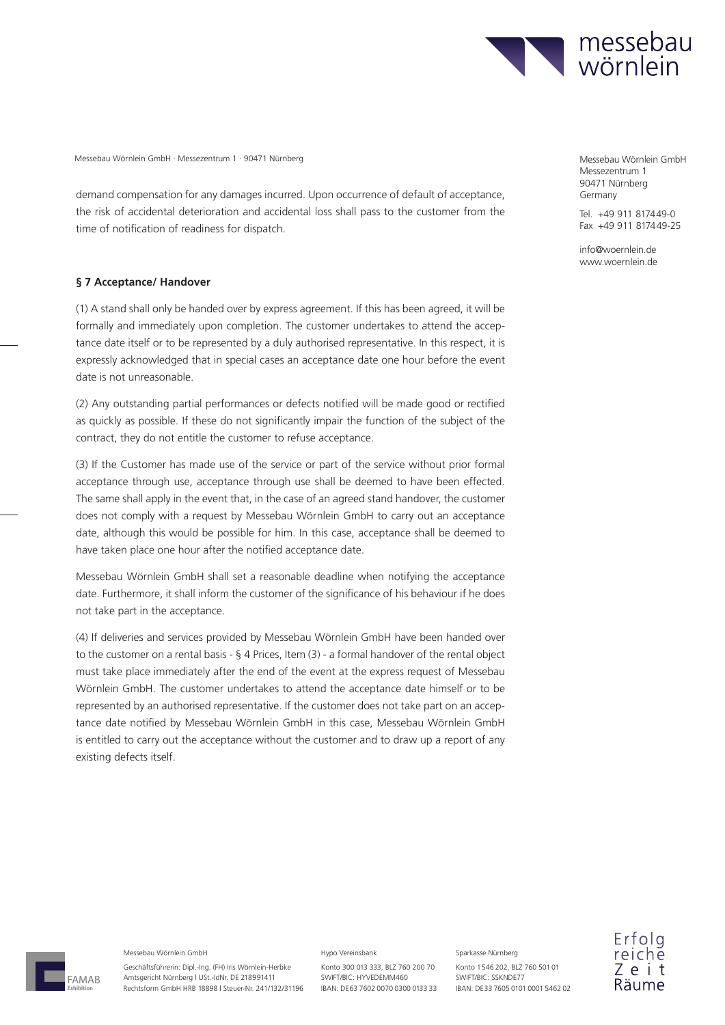

demand compensation for any damages incurred. Upon occurrence of default of acceptance, the risk of accidental deterioration and accidental loss shall pass to the customer from the time of notification of readiness for dispatch.

#### **§ 7 Acceptance/ Handover**

(1) A stand shall only be handed over by express agreement. If this has been agreed, it will be formally and immediately upon completion. The customer undertakes to attend the acceptance date itself or to be represented by a duly authorised representative. In this respect, it is expressly acknowledged that in special cases an acceptance date one hour before the event date is not unreasonable.

(2) Any outstanding partial performances or defects notified will be made good or rectified as quickly as possible. If these do not significantly impair the function of the subject of the contract, they do not entitle the customer to refuse acceptance.

(3) If the Customer has made use of the service or part of the service without prior formal acceptance through use, acceptance through use shall be deemed to have been effected. The same shall apply in the event that, in the case of an agreed stand handover, the customer does not comply with a request by Messebau Wörnlein GmbH to carry out an acceptance date, although this would be possible for him. In this case, acceptance shall be deemed to have taken place one hour after the notified acceptance date.

Messebau Wörnlein GmbH shall set a reasonable deadline when notifying the acceptance date. Furthermore, it shall inform the customer of the significance of his behaviour if he does not take part in the acceptance.

(4) If deliveries and services provided by Messebau Wörnlein GmbH have been handed over to the customer on a rental basis - § 4 Prices, Item (3) - a formal handover of the rental object must take place immediately after the end of the event at the express request of Messebau Wörnlein GmbH. The customer undertakes to attend the acceptance date himself or to be represented by an authorised representative. If the customer does not take part on an acceptance date notified by Messebau Wörnlein GmbH in this case, Messebau Wörnlein GmbH is entitled to carry out the acceptance without the customer and to draw up a report of any existing defects itself.

Messezentrum 1 90471 Nürnberg Germany

Tel. +49 911 817449-0 Fax +49 911 817449-25

info@woernlein.de www.woernlein.de



#### Messebau Wörnlein GmbH

Geschäftsführerin: Dipl.-Ing. (FH) Iris Wörnlein-Herbke Amtsgericht Nürnberg | USt.-IdNr. DE 218991411 Rechtsform GmbH HRB 18898 | Steuer-Nr. 241/132/31196

#### Hypo Vereinsbank

Konto 300 013 333, BLZ 760 200 70 SWIFT/BIC: HYVEDEMM460 IBAN: DE63 7602 0070 0300 0133 33

Konto 1 546 202, BLZ 760 501 01 SWIFT/BIC: SSKNDE77 IBAN: DE 33 7605 0101 0001 5462 02

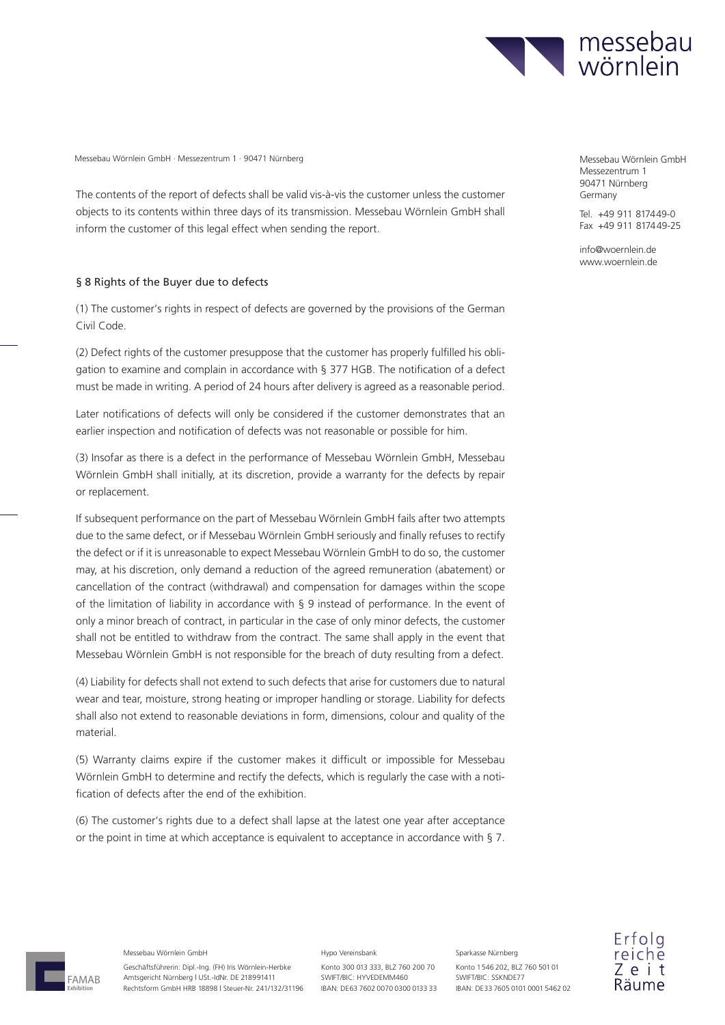

The contents of the report of defects shall be valid vis-à-vis the customer unless the customer objects to its contents within three days of its transmission. Messebau Wörnlein GmbH shall inform the customer of this legal effect when sending the report.

### § 8 Rights of the Buyer due to defects

(1) The customer's rights in respect of defects are governed by the provisions of the German Civil Code.

(2) Defect rights of the customer presuppose that the customer has properly fulfilled his obligation to examine and complain in accordance with § 377 HGB. The notification of a defect must be made in writing. A period of 24 hours after delivery is agreed as a reasonable period.

Later notifications of defects will only be considered if the customer demonstrates that an earlier inspection and notification of defects was not reasonable or possible for him.

(3) Insofar as there is a defect in the performance of Messebau Wörnlein GmbH, Messebau Wörnlein GmbH shall initially, at its discretion, provide a warranty for the defects by repair or replacement.

If subsequent performance on the part of Messebau Wörnlein GmbH fails after two attempts due to the same defect, or if Messebau Wörnlein GmbH seriously and finally refuses to rectify the defect or if it is unreasonable to expect Messebau Wörnlein GmbH to do so, the customer may, at his discretion, only demand a reduction of the agreed remuneration (abatement) or cancellation of the contract (withdrawal) and compensation for damages within the scope of the limitation of liability in accordance with § 9 instead of performance. In the event of only a minor breach of contract, in particular in the case of only minor defects, the customer shall not be entitled to withdraw from the contract. The same shall apply in the event that Messebau Wörnlein GmbH is not responsible for the breach of duty resulting from a defect.

(4) Liability for defects shall not extend to such defects that arise for customers due to natural wear and tear, moisture, strong heating or improper handling or storage. Liability for defects shall also not extend to reasonable deviations in form, dimensions, colour and quality of the material.

(5) Warranty claims expire if the customer makes it difficult or impossible for Messebau Wörnlein GmbH to determine and rectify the defects, which is regularly the case with a notification of defects after the end of the exhibition.

(6) The customer's rights due to a defect shall lapse at the latest one year after acceptance or the point in time at which acceptance is equivalent to acceptance in accordance with § 7. Messezentrum 1 90471 Nürnberg Germany

Tel. +49 911 817449-0  $Fax +49911817449-25$ 

info@woernlein.de www.woernlein.de

FAMAB **Exhibition**

Messebau Wörnlein GmbH

Geschäftsführerin: Dipl.-Ing. (FH) Iris Wörnlein-Herbke Amtsgericht Nürnberg | USt.-IdNr. DE 218991411 Rechtsform GmbH HRB 18898 | Steuer-Nr. 241/132/31196

#### Hypo Vereinsbank

Konto 300 013 333, BLZ 760 200 70 SWIFT/BIC: HYVEDEMM460 IBAN: DE63 7602 0070 0300 0133 33 Konto 1 546 202, BLZ 760 501 01 SWIFT/BIC: SSKNDE77 IBAN: DE 33 7605 0101 0001 5462 02

Sparkasse Nürnberg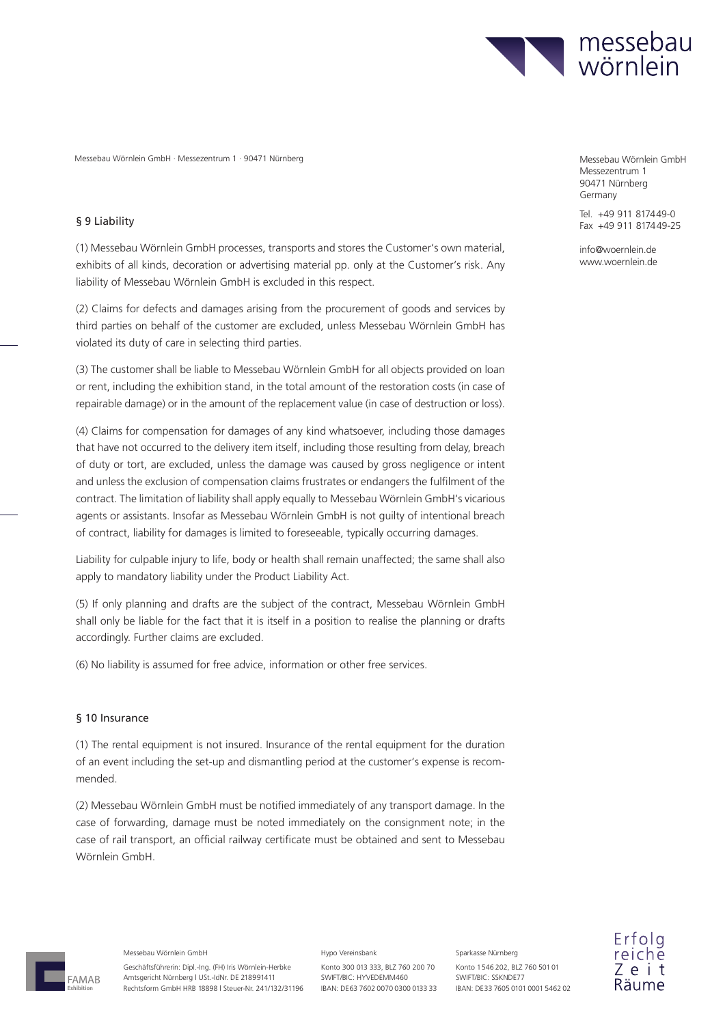

### § 9 Liability

(1) Messebau Wörnlein GmbH processes, transports and stores the Customer's own material, exhibits of all kinds, decoration or advertising material pp. only at the Customer's risk. Any liability of Messebau Wörnlein GmbH is excluded in this respect.

(2) Claims for defects and damages arising from the procurement of goods and services by third parties on behalf of the customer are excluded, unless Messebau Wörnlein GmbH has violated its duty of care in selecting third parties.

(3) The customer shall be liable to Messebau Wörnlein GmbH for all objects provided on loan or rent, including the exhibition stand, in the total amount of the restoration costs (in case of repairable damage) or in the amount of the replacement value (in case of destruction or loss).

(4) Claims for compensation for damages of any kind whatsoever, including those damages that have not occurred to the delivery item itself, including those resulting from delay, breach of duty or tort, are excluded, unless the damage was caused by gross negligence or intent and unless the exclusion of compensation claims frustrates or endangers the fulfilment of the contract. The limitation of liability shall apply equally to Messebau Wörnlein GmbH's vicarious agents or assistants. Insofar as Messebau Wörnlein GmbH is not guilty of intentional breach of contract, liability for damages is limited to foreseeable, typically occurring damages.

Liability for culpable injury to life, body or health shall remain unaffected; the same shall also apply to mandatory liability under the Product Liability Act.

(5) If only planning and drafts are the subject of the contract, Messebau Wörnlein GmbH shall only be liable for the fact that it is itself in a position to realise the planning or drafts accordingly. Further claims are excluded.

(6) No liability is assumed for free advice, information or other free services.

### § 10 Insurance

(1) The rental equipment is not insured. Insurance of the rental equipment for the duration of an event including the set-up and dismantling period at the customer's expense is recommended.

(2) Messebau Wörnlein GmbH must be notified immediately of any transport damage. In the case of forwarding, damage must be noted immediately on the consignment note; in the case of rail transport, an official railway certificate must be obtained and sent to Messebau Wörnlein GmbH.

Messezentrum 1 90471 Nürnberg Germany

Tel. +49 911 8174 49-0 Fax +49 911 817449-25

info@woernlein.de www.woernlein.de

FAMAB **Exhibition**

Messebau Wörnlein GmbH

Geschäftsführerin: Dipl.-Ing. (FH) Iris Wörnlein-Herbke Amtsgericht Nürnberg | USt.-IdNr. DE 218991411 Rechtsform GmbH HRB 18898 | Steuer-Nr. 241/132/31196

#### Hypo Vereinsbank

Konto 300 013 333, BLZ 760 200 70 SWIFT/BIC: HYVEDEMM460 IBAN: DE63 7602 0070 0300 0133 33 Konto 1 546 202, BLZ 760 501 01 SWIFT/BIC: SSKNDE77 IBAN: DE 33 7605 0101 0001 5462 02

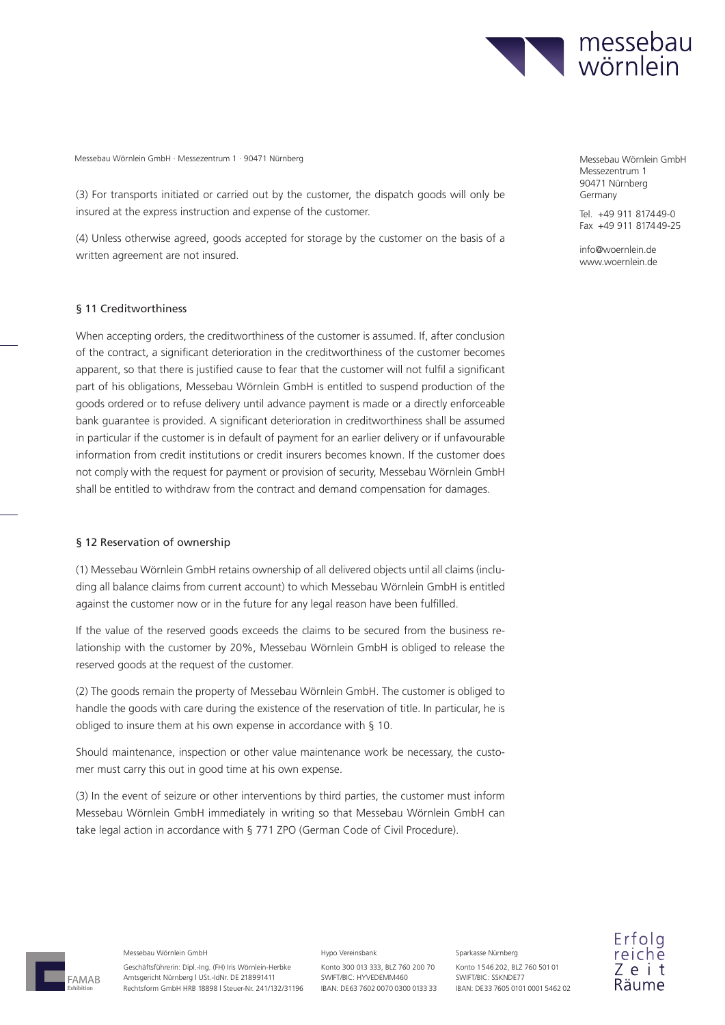

(3) For transports initiated or carried out by the customer, the dispatch goods will only be insured at the express instruction and expense of the customer.

(4) Unless otherwise agreed, goods accepted for storage by the customer on the basis of a written agreement are not insured.

### § 11 Creditworthiness

When accepting orders, the creditworthiness of the customer is assumed. If, after conclusion of the contract, a significant deterioration in the creditworthiness of the customer becomes apparent, so that there is justified cause to fear that the customer will not fulfil a significant part of his obligations, Messebau Wörnlein GmbH is entitled to suspend production of the goods ordered or to refuse delivery until advance payment is made or a directly enforceable bank guarantee is provided. A significant deterioration in creditworthiness shall be assumed in particular if the customer is in default of payment for an earlier delivery or if unfavourable information from credit institutions or credit insurers becomes known. If the customer does not comply with the request for payment or provision of security, Messebau Wörnlein GmbH shall be entitled to withdraw from the contract and demand compensation for damages.

### § 12 Reservation of ownership

(1) Messebau Wörnlein GmbH retains ownership of all delivered objects until all claims (including all balance claims from current account) to which Messebau Wörnlein GmbH is entitled against the customer now or in the future for any legal reason have been fulfilled.

If the value of the reserved goods exceeds the claims to be secured from the business relationship with the customer by 20%, Messebau Wörnlein GmbH is obliged to release the reserved goods at the request of the customer.

(2) The goods remain the property of Messebau Wörnlein GmbH. The customer is obliged to handle the goods with care during the existence of the reservation of title. In particular, he is obliged to insure them at his own expense in accordance with § 10.

Should maintenance, inspection or other value maintenance work be necessary, the customer must carry this out in good time at his own expense.

(3) In the event of seizure or other interventions by third parties, the customer must inform Messebau Wörnlein GmbH immediately in writing so that Messebau Wörnlein GmbH can take legal action in accordance with § 771 ZPO (German Code of Civil Procedure).

Messezentrum 1 90471 Nürnberg Germany

Tel. +49 911 817449-0  $Fax +49911817449-25$ 

info@woernlein.de www.woernlein.de



Messebau Wörnlein GmbH

Geschäftsführerin: Dipl.-Ing. (FH) Iris Wörnlein-Herbke Amtsgericht Nürnberg | USt.-IdNr. DE 218991411 Rechtsform GmbH HRB 18898 | Steuer-Nr. 241/132/31196

#### Hypo Vereinsbank

Konto 300 013 333, BLZ 760 200 70 SWIFT/BIC: HYVEDEMM460 IBAN: DE63 7602 0070 0300 0133 33 Konto 1 546 202, BLZ 760 501 01 SWIFT/BIC: SSKNDE77 IBAN: DE 33 7605 0101 0001 5462 02

Sparkasse Nürnberg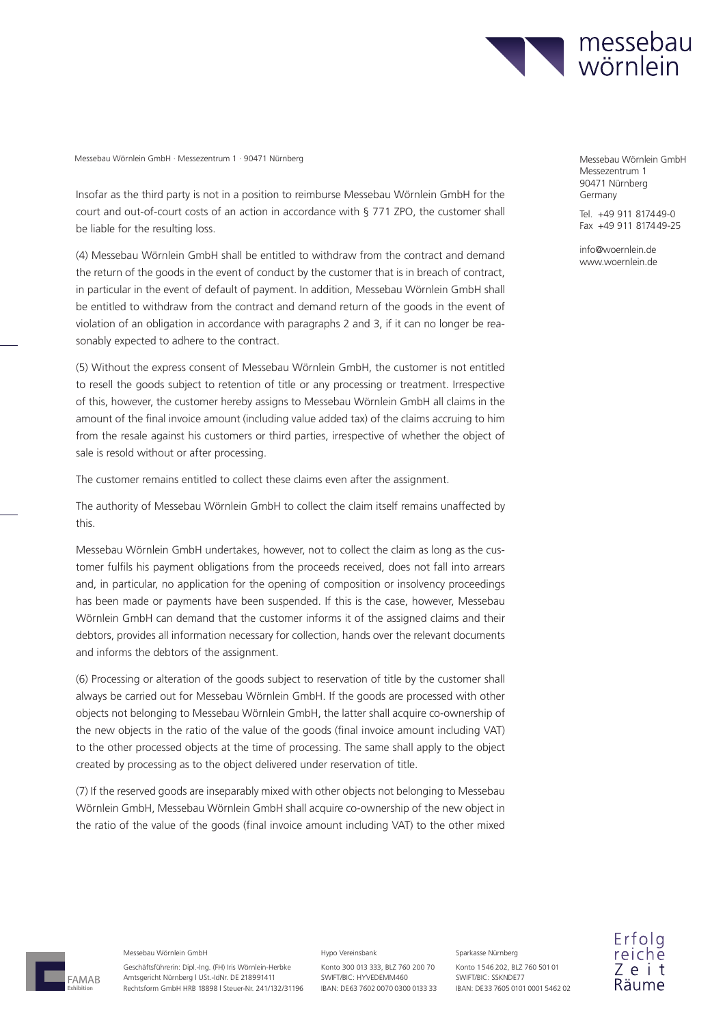

Insofar as the third party is not in a position to reimburse Messebau Wörnlein GmbH for the court and out-of-court costs of an action in accordance with § 771 ZPO, the customer shall be liable for the resulting loss.

(4) Messebau Wörnlein GmbH shall be entitled to withdraw from the contract and demand the return of the goods in the event of conduct by the customer that is in breach of contract, in particular in the event of default of payment. In addition, Messebau Wörnlein GmbH shall be entitled to withdraw from the contract and demand return of the goods in the event of violation of an obligation in accordance with paragraphs 2 and 3, if it can no longer be reasonably expected to adhere to the contract.

(5) Without the express consent of Messebau Wörnlein GmbH, the customer is not entitled to resell the goods subject to retention of title or any processing or treatment. Irrespective of this, however, the customer hereby assigns to Messebau Wörnlein GmbH all claims in the amount of the final invoice amount (including value added tax) of the claims accruing to him from the resale against his customers or third parties, irrespective of whether the object of sale is resold without or after processing.

The customer remains entitled to collect these claims even after the assignment.

The authority of Messebau Wörnlein GmbH to collect the claim itself remains unaffected by this.

Messebau Wörnlein GmbH undertakes, however, not to collect the claim as long as the customer fulfils his payment obligations from the proceeds received, does not fall into arrears and, in particular, no application for the opening of composition or insolvency proceedings has been made or payments have been suspended. If this is the case, however, Messebau Wörnlein GmbH can demand that the customer informs it of the assigned claims and their debtors, provides all information necessary for collection, hands over the relevant documents and informs the debtors of the assignment.

(6) Processing or alteration of the goods subject to reservation of title by the customer shall always be carried out for Messebau Wörnlein GmbH. If the goods are processed with other objects not belonging to Messebau Wörnlein GmbH, the latter shall acquire co-ownership of the new objects in the ratio of the value of the goods (final invoice amount including VAT) to the other processed objects at the time of processing. The same shall apply to the object created by processing as to the object delivered under reservation of title.

(7) If the reserved goods are inseparably mixed with other objects not belonging to Messebau Wörnlein GmbH, Messebau Wörnlein GmbH shall acquire co-ownership of the new object in the ratio of the value of the goods (final invoice amount including VAT) to the other mixed

Messezentrum 1 90471 Nürnberg Germany

Tel. +49 911 817449-0 Fax +49 911 817449-25

info@woernlein.de www.woernlein.de



Messebau Wörnlein GmbH

Geschäftsführerin: Dipl.-Ing. (FH) Iris Wörnlein-Herbke Amtsgericht Nürnberg | USt.-IdNr. DE 218991411 Rechtsform GmbH HRB 18898 | Steuer-Nr. 241/132/31196

#### Hypo Vereinsbank

Konto 300 013 333, BLZ 760 200 70 SWIFT/BIC: HYVEDEMM460 IBAN: DE63 7602 0070 0300 0133 33 Konto 1 546 202, BLZ 760 501 01 SWIFT/BIC: SSKNDE77 IBAN: DE 33 7605 0101 0001 5462 02

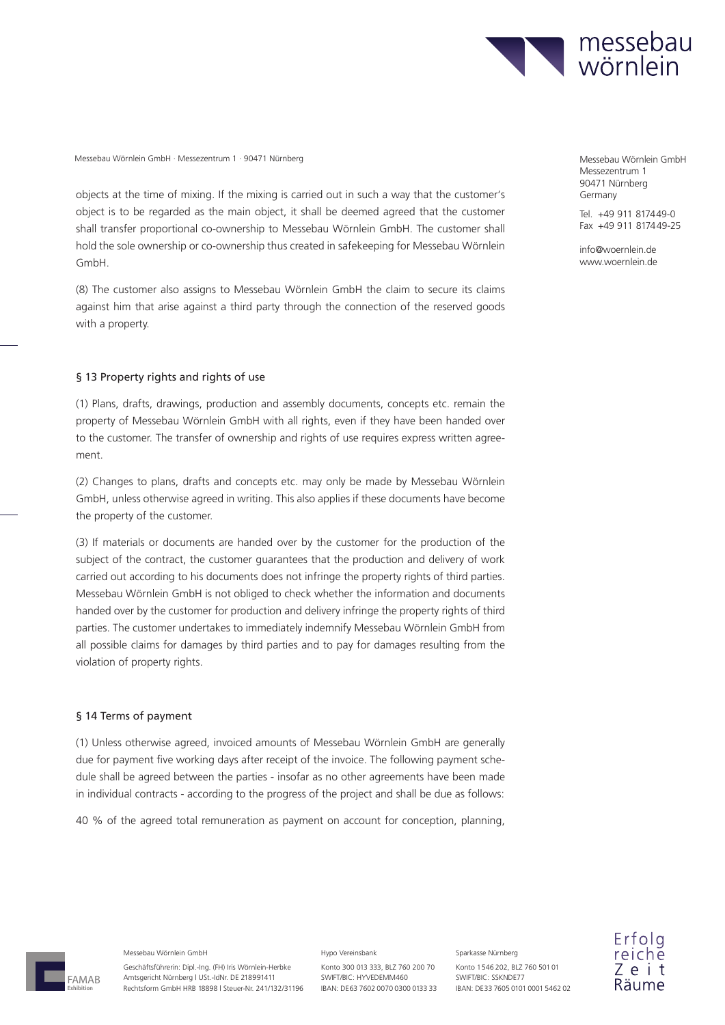

objects at the time of mixing. If the mixing is carried out in such a way that the customer's object is to be regarded as the main object, it shall be deemed agreed that the customer shall transfer proportional co-ownership to Messebau Wörnlein GmbH. The customer shall hold the sole ownership or co-ownership thus created in safekeeping for Messebau Wörnlein GmbH.

(8) The customer also assigns to Messebau Wörnlein GmbH the claim to secure its claims against him that arise against a third party through the connection of the reserved goods with a property.

### § 13 Property rights and rights of use

(1) Plans, drafts, drawings, production and assembly documents, concepts etc. remain the property of Messebau Wörnlein GmbH with all rights, even if they have been handed over to the customer. The transfer of ownership and rights of use requires express written agreement.

(2) Changes to plans, drafts and concepts etc. may only be made by Messebau Wörnlein GmbH, unless otherwise agreed in writing. This also applies if these documents have become the property of the customer.

(3) If materials or documents are handed over by the customer for the production of the subject of the contract, the customer guarantees that the production and delivery of work carried out according to his documents does not infringe the property rights of third parties. Messebau Wörnlein GmbH is not obliged to check whether the information and documents handed over by the customer for production and delivery infringe the property rights of third parties. The customer undertakes to immediately indemnify Messebau Wörnlein GmbH from all possible claims for damages by third parties and to pay for damages resulting from the violation of property rights.

#### § 14 Terms of payment

(1) Unless otherwise agreed, invoiced amounts of Messebau Wörnlein GmbH are generally due for payment five working days after receipt of the invoice. The following payment schedule shall be agreed between the parties - insofar as no other agreements have been made in individual contracts - according to the progress of the project and shall be due as follows:

40 % of the agreed total remuneration as payment on account for conception, planning,

Messezentrum 1 90471 Nürnberg Germany

Tel. +49 911 817449-0 Fax +49 911 817449-25

info@woernlein.de www.woernlein.de



Messebau Wörnlein GmbH

Geschäftsführerin: Dipl.-Ing. (FH) Iris Wörnlein-Herbke Amtsgericht Nürnberg | USt.-IdNr. DE 218991411 Rechtsform GmbH HRB 18898 | Steuer-Nr. 241/132/31196

#### Hypo Vereinsbank

Konto 300 013 333, BLZ 760 200 70 SWIFT/BIC: HYVEDEMM460 IBAN: DE63 7602 0070 0300 0133 33 Konto 1 546 202, BLZ 760 501 01 SWIFT/BIC: SSKNDE77 IBAN: DE 33 7605 0101 0001 5462 02

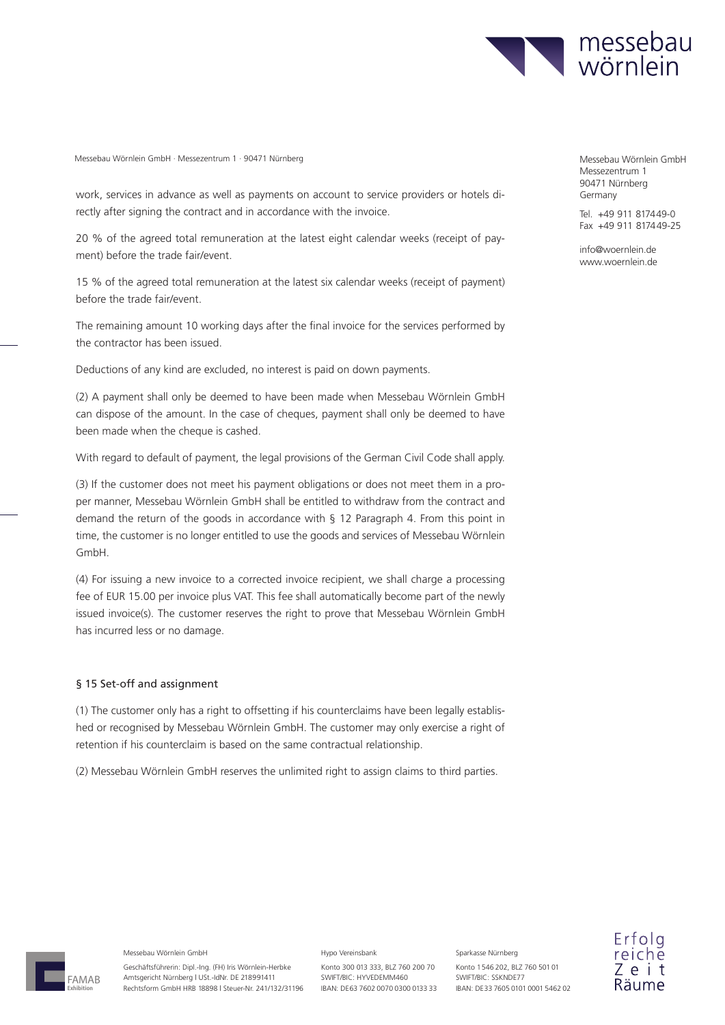

work, services in advance as well as payments on account to service providers or hotels directly after signing the contract and in accordance with the invoice.

20 % of the agreed total remuneration at the latest eight calendar weeks (receipt of payment) before the trade fair/event.

15 % of the agreed total remuneration at the latest six calendar weeks (receipt of payment) before the trade fair/event.

The remaining amount 10 working days after the final invoice for the services performed by the contractor has been issued.

Deductions of any kind are excluded, no interest is paid on down payments.

(2) A payment shall only be deemed to have been made when Messebau Wörnlein GmbH can dispose of the amount. In the case of cheques, payment shall only be deemed to have been made when the cheque is cashed.

With regard to default of payment, the legal provisions of the German Civil Code shall apply.

(3) If the customer does not meet his payment obligations or does not meet them in a proper manner, Messebau Wörnlein GmbH shall be entitled to withdraw from the contract and demand the return of the goods in accordance with § 12 Paragraph 4. From this point in time, the customer is no longer entitled to use the goods and services of Messebau Wörnlein GmbH.

(4) For issuing a new invoice to a corrected invoice recipient, we shall charge a processing fee of EUR 15.00 per invoice plus VAT. This fee shall automatically become part of the newly issued invoice(s). The customer reserves the right to prove that Messebau Wörnlein GmbH has incurred less or no damage.

### § 15 Set-off and assignment

(1) The customer only has a right to offsetting if his counterclaims have been legally established or recognised by Messebau Wörnlein GmbH. The customer may only exercise a right of retention if his counterclaim is based on the same contractual relationship.

(2) Messebau Wörnlein GmbH reserves the unlimited right to assign claims to third parties.

Messezentrum 1 90471 Nürnberg Germany

Tel. +49 911 8174 49-0 Fax +49 911 817449-25

info@woernlein.de www.woernlein.de



Messebau Wörnlein GmbH

Geschäftsführerin: Dipl.-Ing. (FH) Iris Wörnlein-Herbke Amtsgericht Nürnberg | USt.-IdNr. DE 218991411 Rechtsform GmbH HRB 18898 | Steuer-Nr. 241/132/31196

#### Hypo Vereinsbank

Konto 300 013 333, BLZ 760 200 70 SWIFT/BIC: HYVEDEMM460 IBAN: DE63 7602 0070 0300 0133 33 Konto 1 546 202, BLZ 760 501 01 SWIFT/BIC: SSKNDE77

Sparkasse Nürnberg

IBAN: DE 33 7605 0101 0001 5462 02

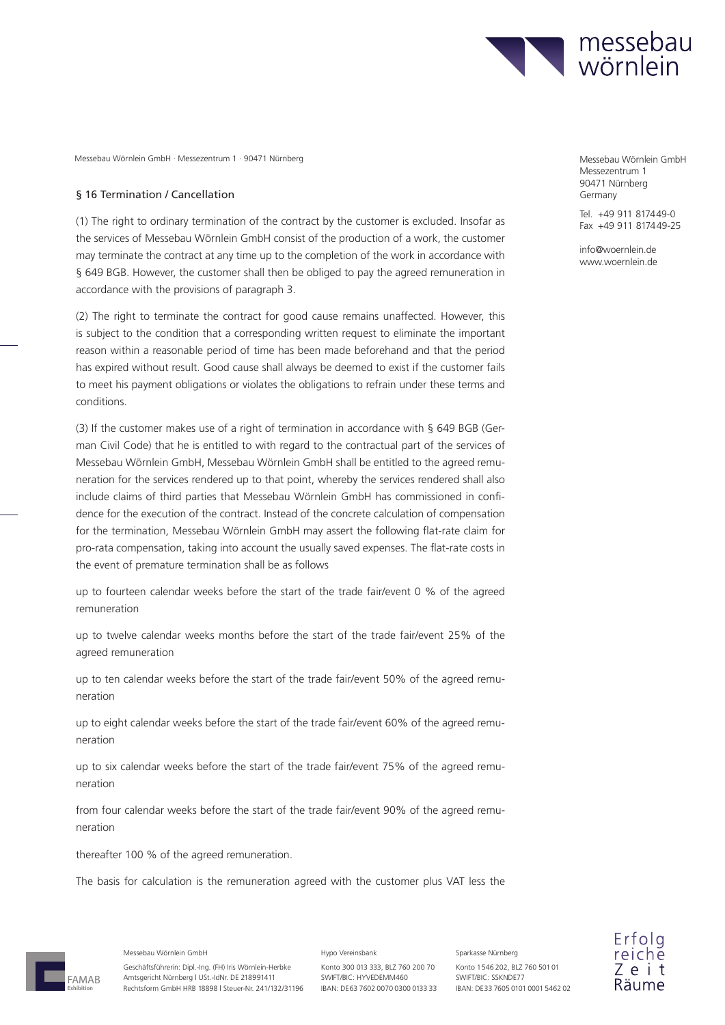

#### § 16 Termination / Cancellation

(1) The right to ordinary termination of the contract by the customer is excluded. Insofar as the services of Messebau Wörnlein GmbH consist of the production of a work, the customer may terminate the contract at any time up to the completion of the work in accordance with § 649 BGB. However, the customer shall then be obliged to pay the agreed remuneration in accordance with the provisions of paragraph 3.

(2) The right to terminate the contract for good cause remains unaffected. However, this is subject to the condition that a corresponding written request to eliminate the important reason within a reasonable period of time has been made beforehand and that the period has expired without result. Good cause shall always be deemed to exist if the customer fails to meet his payment obligations or violates the obligations to refrain under these terms and conditions.

(3) If the customer makes use of a right of termination in accordance with § 649 BGB (German Civil Code) that he is entitled to with regard to the contractual part of the services of Messebau Wörnlein GmbH, Messebau Wörnlein GmbH shall be entitled to the agreed remuneration for the services rendered up to that point, whereby the services rendered shall also include claims of third parties that Messebau Wörnlein GmbH has commissioned in confidence for the execution of the contract. Instead of the concrete calculation of compensation for the termination, Messebau Wörnlein GmbH may assert the following flat-rate claim for pro-rata compensation, taking into account the usually saved expenses. The flat-rate costs in the event of premature termination shall be as follows

up to fourteen calendar weeks before the start of the trade fair/event 0 % of the agreed remuneration

up to twelve calendar weeks months before the start of the trade fair/event 25% of the agreed remuneration

up to ten calendar weeks before the start of the trade fair/event 50% of the agreed remuneration

up to eight calendar weeks before the start of the trade fair/event 60% of the agreed remuneration

up to six calendar weeks before the start of the trade fair/event 75% of the agreed remuneration

from four calendar weeks before the start of the trade fair/event 90% of the agreed remuneration

thereafter 100 % of the agreed remuneration.

The basis for calculation is the remuneration agreed with the customer plus VAT less the



Messebau Wörnlein GmbH

Geschäftsführerin: Dipl.-Ing. (FH) Iris Wörnlein-Herbke Amtsgericht Nürnberg | USt.-IdNr. DE 218991411 Rechtsform GmbH HRB 18898 | Steuer-Nr. 241/132/31196

#### Hypo Vereinsbank

Konto 300 013 333, BLZ 760 200 70 SWIFT/BIC: HYVEDEMM460 IBAN: DE63 7602 0070 0300 0133 33 Konto 1 546 202, BLZ 760 501 01 SWIFT/BIC: SSKNDE77 IBAN: DE 33 7605 0101 0001 5462 02

Sparkasse Nürnberg

Messezentrum 1 90471 Nürnberg Germany

Tel. +49 911 8174 49-0 Fax +49 911 817449-25

info@woernlein.de www.woernlein.de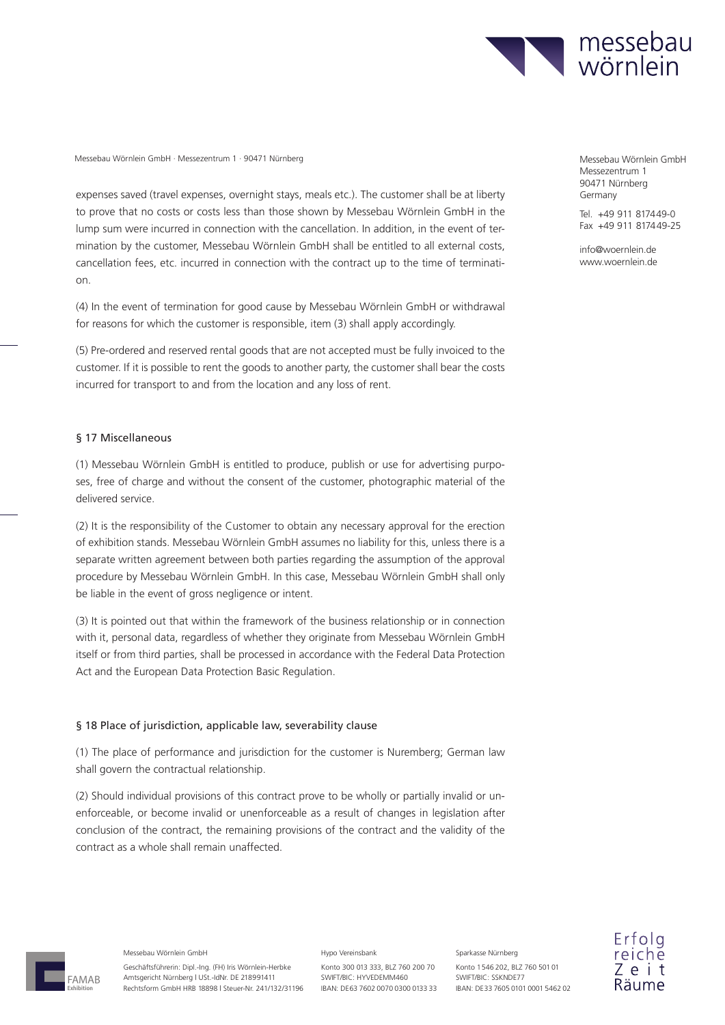

expenses saved (travel expenses, overnight stays, meals etc.). The customer shall be at liberty to prove that no costs or costs less than those shown by Messebau Wörnlein GmbH in the lump sum were incurred in connection with the cancellation. In addition, in the event of termination by the customer, Messebau Wörnlein GmbH shall be entitled to all external costs, cancellation fees, etc. incurred in connection with the contract up to the time of termination.

(4) In the event of termination for good cause by Messebau Wörnlein GmbH or withdrawal for reasons for which the customer is responsible, item (3) shall apply accordingly.

(5) Pre-ordered and reserved rental goods that are not accepted must be fully invoiced to the customer. If it is possible to rent the goods to another party, the customer shall bear the costs incurred for transport to and from the location and any loss of rent.

## § 17 Miscellaneous

(1) Messebau Wörnlein GmbH is entitled to produce, publish or use for advertising purposes, free of charge and without the consent of the customer, photographic material of the delivered service.

(2) It is the responsibility of the Customer to obtain any necessary approval for the erection of exhibition stands. Messebau Wörnlein GmbH assumes no liability for this, unless there is a separate written agreement between both parties regarding the assumption of the approval procedure by Messebau Wörnlein GmbH. In this case, Messebau Wörnlein GmbH shall only be liable in the event of gross negligence or intent.

(3) It is pointed out that within the framework of the business relationship or in connection with it, personal data, regardless of whether they originate from Messebau Wörnlein GmbH itself or from third parties, shall be processed in accordance with the Federal Data Protection Act and the European Data Protection Basic Regulation.

### § 18 Place of jurisdiction, applicable law, severability clause

(1) The place of performance and jurisdiction for the customer is Nuremberg; German law shall govern the contractual relationship.

(2) Should individual provisions of this contract prove to be wholly or partially invalid or unenforceable, or become invalid or unenforceable as a result of changes in legislation after conclusion of the contract, the remaining provisions of the contract and the validity of the contract as a whole shall remain unaffected.

Messezentrum 1 90471 Nürnberg Germany

Tel. +49 911 817449-0  $Fax +49911817449-25$ 

info@woernlein.de www.woernlein.de

FAMAB **Exhibition**

Messebau Wörnlein GmbH

Geschäftsführerin: Dipl.-Ing. (FH) Iris Wörnlein-Herbke Amtsgericht Nürnberg | USt.-IdNr. DE 218991411 Rechtsform GmbH HRB 18898 | Steuer-Nr. 241/132/31196 Hypo Vereinsbank

Konto 300 013 333, BLZ 760 200 70 SWIFT/BIC: HYVEDEMM460 IBAN: DE63 7602 0070 0300 0133 33 Konto 1 546 202, BLZ 760 501 01 SWIFT/BIC: SSKNDE77 IBAN: DE 33 7605 0101 0001 5462 02

Sparkasse Nürnberg